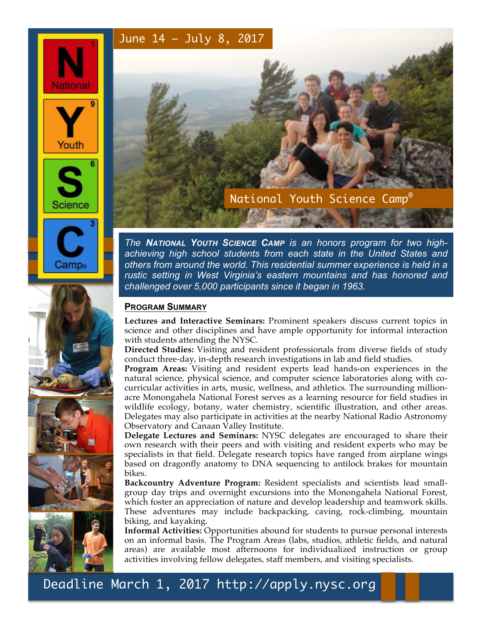# June 14 – July 8, 2017



Camp∈





*The NATIONAL YOUTH SCIENCE CAMP is an honors program for two highachieving high school students from each state in the United States and others from around the world. This residential summer experience is held in a rustic setting in West Virginia's eastern mountains and has honored and challenged over 5,000 participants since it began in 1963.*

## **PROGRAM SUMMARY**

**Lectures and Interactive Seminars:** Prominent speakers discuss current topics in science and other disciplines and have ample opportunity for informal interaction with students attending the NYSC.

**Directed Studies:** Visiting and resident professionals from diverse fields of study conduct three-day, in-depth research investigations in lab and field studies.

**Program Areas:** Visiting and resident experts lead hands-on experiences in the natural science, physical science, and computer science laboratories along with cocurricular activities in arts, music, wellness, and athletics. The surrounding millionacre Monongahela National Forest serves as a learning resource for field studies in wildlife ecology, botany, water chemistry, scientific illustration, and other areas. Delegates may also participate in activities at the nearby National Radio Astronomy Observatory and Canaan Valley Institute.

**Delegate Lectures and Seminars:** NYSC delegates are encouraged to share their own research with their peers and with visiting and resident experts who may be specialists in that field. Delegate research topics have ranged from airplane wings based on dragonfly anatomy to DNA sequencing to antilock brakes for mountain bikes.

**Backcountry Adventure Program:** Resident specialists and scientists lead smallgroup day trips and overnight excursions into the Monongahela National Forest, which foster an appreciation of nature and develop leadership and teamwork skills. These adventures may include backpacking, caving, rock-climbing, mountain biking, and kayaking.

**Informal Activities:** Opportunities abound for students to pursue personal interests on an informal basis. The Program Areas (labs, studios, athletic fields, and natural areas) are available most afternoons for individualized instruction or group activities involving fellow delegates, staff members, and visiting specialists.

Deadline March 1, 2017 http://apply.nysc.org